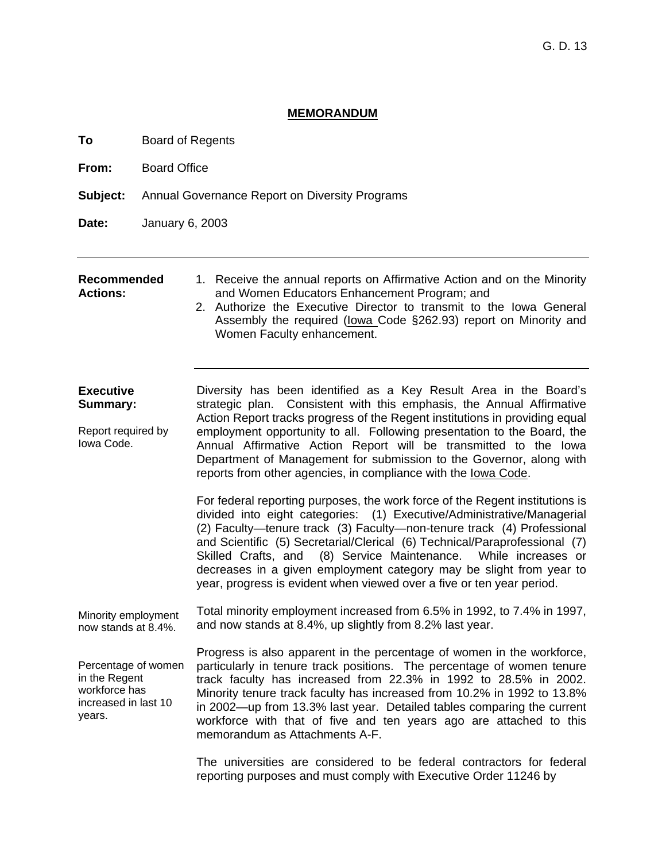### **MEMORANDUM**

**To** Board of Regents

**From:** Board Office

**Subject:** Annual Governance Report on Diversity Programs

**Date:** January 6, 2003

#### **Recommended Actions:**

1. Receive the annual reports on Affirmative Action and on the Minority and Women Educators Enhancement Program; and

2. Authorize the Executive Director to transmit to the Iowa General Assembly the required (Iowa Code §262.93) report on Minority and Women Faculty enhancement.

**Executive Summary:**  Report required by Iowa Code. Diversity has been identified as a Key Result Area in the Board's strategic plan. Consistent with this emphasis, the Annual Affirmative Action Report tracks progress of the Regent institutions in providing equal employment opportunity to all. Following presentation to the Board, the Annual Affirmative Action Report will be transmitted to the Iowa Department of Management for submission to the Governor, along with reports from other agencies, in compliance with the Iowa Code.

> For federal reporting purposes, the work force of the Regent institutions is divided into eight categories: (1) Executive/Administrative/Managerial (2) Faculty—tenure track (3) Faculty—non-tenure track (4) Professional and Scientific (5) Secretarial/Clerical (6) Technical/Paraprofessional (7) Skilled Crafts, and (8) Service Maintenance. While increases or decreases in a given employment category may be slight from year to year, progress is evident when viewed over a five or ten year period.

Minority employment now stands at 8.4%. Total minority employment increased from 6.5% in 1992, to 7.4% in 1997, and now stands at 8.4%, up slightly from 8.2% last year.

Percentage of women in the Regent workforce has increased in last 10 years. Progress is also apparent in the percentage of women in the workforce, particularly in tenure track positions. The percentage of women tenure track faculty has increased from 22.3% in 1992 to 28.5% in 2002. Minority tenure track faculty has increased from 10.2% in 1992 to 13.8% in 2002—up from 13.3% last year. Detailed tables comparing the current workforce with that of five and ten years ago are attached to this memorandum as Attachments A-F.

> The universities are considered to be federal contractors for federal reporting purposes and must comply with Executive Order 11246 by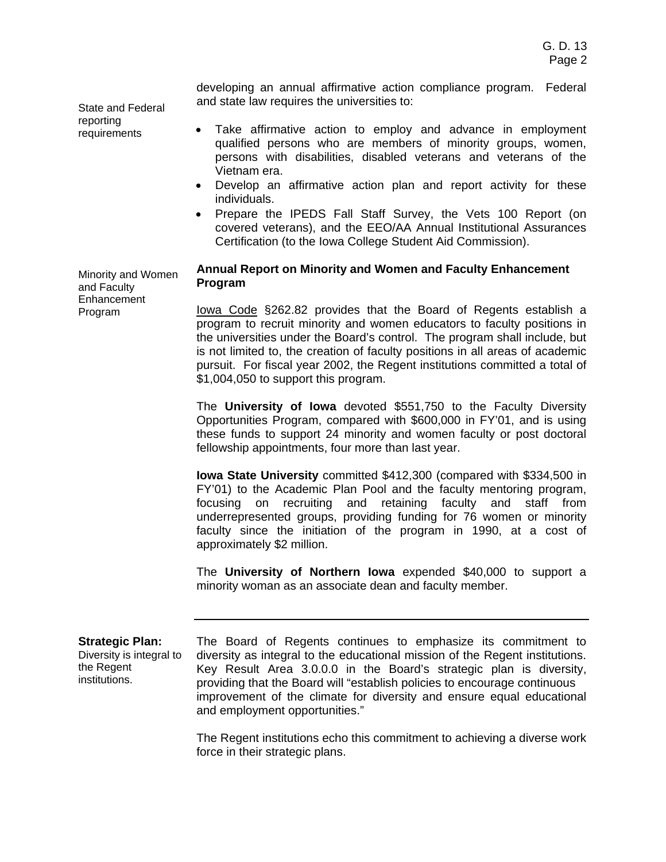developing an annual affirmative action compliance program. Federal and state law requires the universities to:

State and Federal reporting requirements

- Take affirmative action to employ and advance in employment qualified persons who are members of minority groups, women, persons with disabilities, disabled veterans and veterans of the Vietnam era.
- Develop an affirmative action plan and report activity for these individuals.
- Prepare the IPEDS Fall Staff Survey, the Vets 100 Report (on covered veterans), and the EEO/AA Annual Institutional Assurances Certification (to the Iowa College Student Aid Commission).

Minority and Women and Faculty **Enhancement** Program

## **Annual Report on Minority and Women and Faculty Enhancement Program**

Iowa Code §262.82 provides that the Board of Regents establish a program to recruit minority and women educators to faculty positions in the universities under the Board's control. The program shall include, but is not limited to, the creation of faculty positions in all areas of academic pursuit. For fiscal year 2002, the Regent institutions committed a total of \$1,004,050 to support this program.

The **University of Iowa** devoted \$551,750 to the Faculty Diversity Opportunities Program, compared with \$600,000 in FY'01, and is using these funds to support 24 minority and women faculty or post doctoral fellowship appointments, four more than last year.

**Iowa State University** committed \$412,300 (compared with \$334,500 in FY'01) to the Academic Plan Pool and the faculty mentoring program, focusing on recruiting and retaining faculty and staff from underrepresented groups, providing funding for 76 women or minority faculty since the initiation of the program in 1990, at a cost of approximately \$2 million.

The **University of Northern Iowa** expended \$40,000 to support a minority woman as an associate dean and faculty member.

**Strategic Plan:**  Diversity is integral to the Regent institutions.

The Board of Regents continues to emphasize its commitment to diversity as integral to the educational mission of the Regent institutions. Key Result Area 3.0.0.0 in the Board's strategic plan is diversity, providing that the Board will "establish policies to encourage continuous improvement of the climate for diversity and ensure equal educational and employment opportunities."

The Regent institutions echo this commitment to achieving a diverse work force in their strategic plans.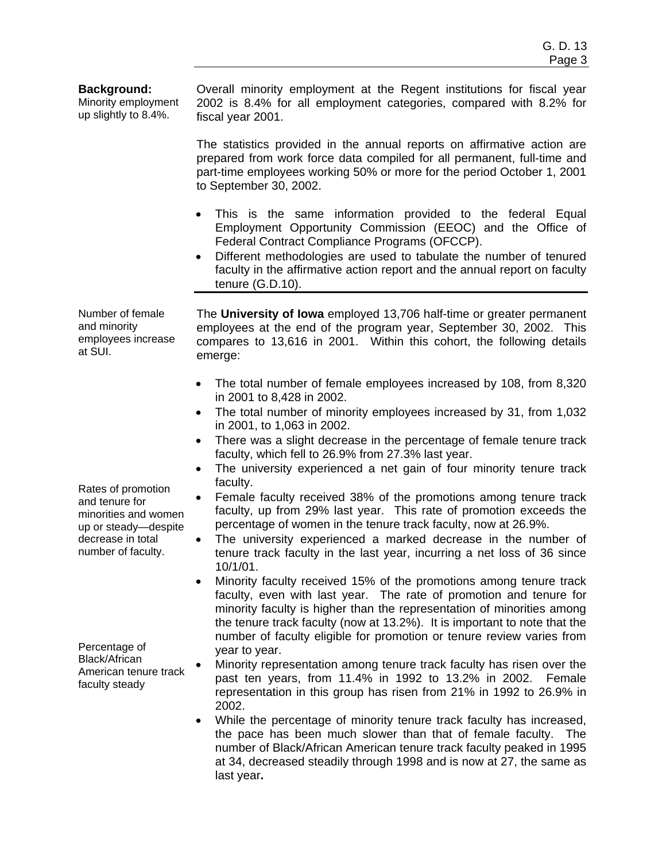## **Background:**

Minority employment up slightly to 8.4%.

Overall minority employment at the Regent institutions for fiscal year 2002 is 8.4% for all employment categories, compared with 8.2% for fiscal year 2001.

The statistics provided in the annual reports on affirmative action are prepared from work force data compiled for all permanent, full-time and part-time employees working 50% or more for the period October 1, 2001 to September 30, 2002.

- This is the same information provided to the federal Equal Employment Opportunity Commission (EEOC) and the Office of Federal Contract Compliance Programs (OFCCP).
- Different methodologies are used to tabulate the number of tenured faculty in the affirmative action report and the annual report on faculty tenure (G.D.10).

Number of female and minority employees increase at SUI.

The **University of Iowa** employed 13,706 half-time or greater permanent employees at the end of the program year, September 30, 2002. This compares to 13,616 in 2001. Within this cohort, the following details emerge:

- The total number of female employees increased by 108, from 8,320 in 2001 to 8,428 in 2002.
- The total number of minority employees increased by 31, from 1,032 in 2001, to 1,063 in 2002.
- There was a slight decrease in the percentage of female tenure track faculty, which fell to 26.9% from 27.3% last year.
- The university experienced a net gain of four minority tenure track faculty.
- Female faculty received 38% of the promotions among tenure track faculty, up from 29% last year. This rate of promotion exceeds the percentage of women in the tenure track faculty, now at 26.9%.
- The university experienced a marked decrease in the number of tenure track faculty in the last year, incurring a net loss of 36 since 10/1/01.
- Minority faculty received 15% of the promotions among tenure track faculty, even with last year. The rate of promotion and tenure for minority faculty is higher than the representation of minorities among the tenure track faculty (now at 13.2%). It is important to note that the number of faculty eligible for promotion or tenure review varies from year to year.
- Minority representation among tenure track faculty has risen over the past ten years, from 11.4% in 1992 to 13.2% in 2002. Female representation in this group has risen from 21% in 1992 to 26.9% in 2002.
- While the percentage of minority tenure track faculty has increased, the pace has been much slower than that of female faculty. The number of Black/African American tenure track faculty peaked in 1995 at 34, decreased steadily through 1998 and is now at 27, the same as last year**.**

Rates of promotion and tenure for minorities and women up or steady—despite decrease in total number of faculty.

Percentage of Black/African American tenure track faculty steady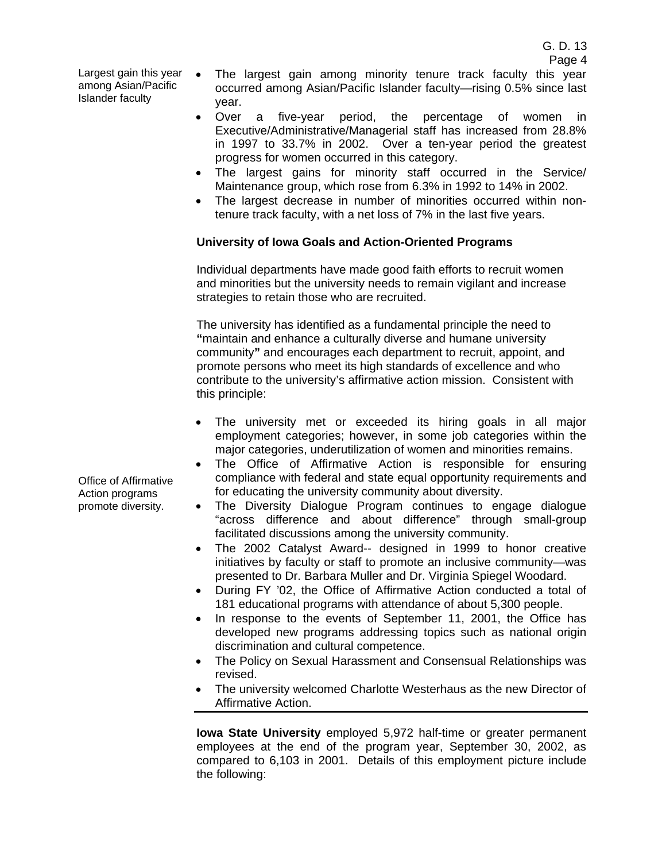Largest gain this year • among Asian/Pacific Islander faculty

- The largest gain among minority tenure track faculty this year occurred among Asian/Pacific Islander faculty—rising 0.5% since last year.
- Over a five-year period, the percentage of women in Executive/Administrative/Managerial staff has increased from 28.8% in 1997 to 33.7% in 2002. Over a ten-year period the greatest progress for women occurred in this category.
- The largest gains for minority staff occurred in the Service/ Maintenance group, which rose from 6.3% in 1992 to 14% in 2002.
- The largest decrease in number of minorities occurred within nontenure track faculty, with a net loss of 7% in the last five years.

# **University of Iowa Goals and Action-Oriented Programs**

Individual departments have made good faith efforts to recruit women and minorities but the university needs to remain vigilant and increase strategies to retain those who are recruited.

The university has identified as a fundamental principle the need to **"**maintain and enhance a culturally diverse and humane university community**"** and encourages each department to recruit, appoint, and promote persons who meet its high standards of excellence and who contribute to the university's affirmative action mission. Consistent with this principle:

- The university met or exceeded its hiring goals in all major employment categories; however, in some job categories within the major categories, underutilization of women and minorities remains.
- The Office of Affirmative Action is responsible for ensuring compliance with federal and state equal opportunity requirements and for educating the university community about diversity.
- The Diversity Dialogue Program continues to engage dialogue "across difference and about difference" through small-group facilitated discussions among the university community.
- The 2002 Catalyst Award-- designed in 1999 to honor creative initiatives by faculty or staff to promote an inclusive community—was presented to Dr. Barbara Muller and Dr. Virginia Spiegel Woodard.
- During FY '02, the Office of Affirmative Action conducted a total of 181 educational programs with attendance of about 5,300 people.
- In response to the events of September 11, 2001, the Office has developed new programs addressing topics such as national origin discrimination and cultural competence.
- The Policy on Sexual Harassment and Consensual Relationships was revised.
- The university welcomed Charlotte Westerhaus as the new Director of Affirmative Action.

**Iowa State University** employed 5,972 half-time or greater permanent employees at the end of the program year, September 30, 2002, as compared to 6,103 in 2001. Details of this employment picture include the following:

Office of Affirmative Action programs promote diversity.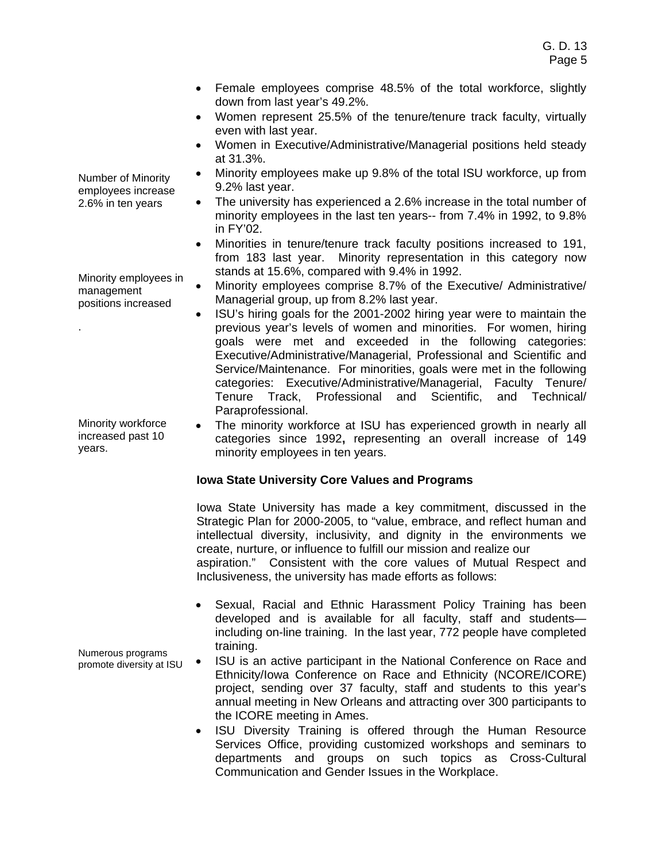- Female employees comprise 48.5% of the total workforce, slightly down from last year's 49.2%.
- Women represent 25.5% of the tenure/tenure track faculty, virtually even with last year.
- Women in Executive/Administrative/Managerial positions held steady at 31.3%.
- Minority employees make up 9.8% of the total ISU workforce, up from 9.2% last year.
- The university has experienced a 2.6% increase in the total number of minority employees in the last ten years-- from 7.4% in 1992, to 9.8% in FY'02.
- Minorities in tenure/tenure track faculty positions increased to 191, from 183 last year. Minority representation in this category now stands at 15.6%, compared with 9.4% in 1992.
- Minority employees comprise 8.7% of the Executive/ Administrative/ Managerial group, up from 8.2% last year.
- ISU's hiring goals for the 2001-2002 hiring year were to maintain the previous year's levels of women and minorities. For women, hiring goals were met and exceeded in the following categories: Executive/Administrative/Managerial, Professional and Scientific and Service/Maintenance. For minorities, goals were met in the following categories: Executive/Administrative/Managerial, Faculty Tenure/ Tenure Track, Professional and Scientific, and Technical/ Paraprofessional.
- The minority workforce at ISU has experienced growth in nearly all categories since 1992**,** representing an overall increase of 149 minority employees in ten years.

# **Iowa State University Core Values and Programs**

Iowa State University has made a key commitment, discussed in the Strategic Plan for 2000-2005, to "value, embrace, and reflect human and intellectual diversity, inclusivity, and dignity in the environments we create, nurture, or influence to fulfill our mission and realize our aspiration." Consistent with the core values of Mutual Respect and Inclusiveness, the university has made efforts as follows:

- Sexual, Racial and Ethnic Harassment Policy Training has been developed and is available for all faculty, staff and students including on-line training. In the last year, 772 people have completed training.
- ISU is an active participant in the National Conference on Race and Ethnicity/Iowa Conference on Race and Ethnicity (NCORE/ICORE) project, sending over 37 faculty, staff and students to this year's annual meeting in New Orleans and attracting over 300 participants to the ICORE meeting in Ames.
	- ISU Diversity Training is offered through the Human Resource Services Office, providing customized workshops and seminars to departments and groups on such topics as Cross-Cultural Communication and Gender Issues in the Workplace.

Number of Minority employees increase 2.6% in ten years

Minority employees in management positions increased

.

Minority workforce increased past 10 years.

Numerous programs promote diversity at ISU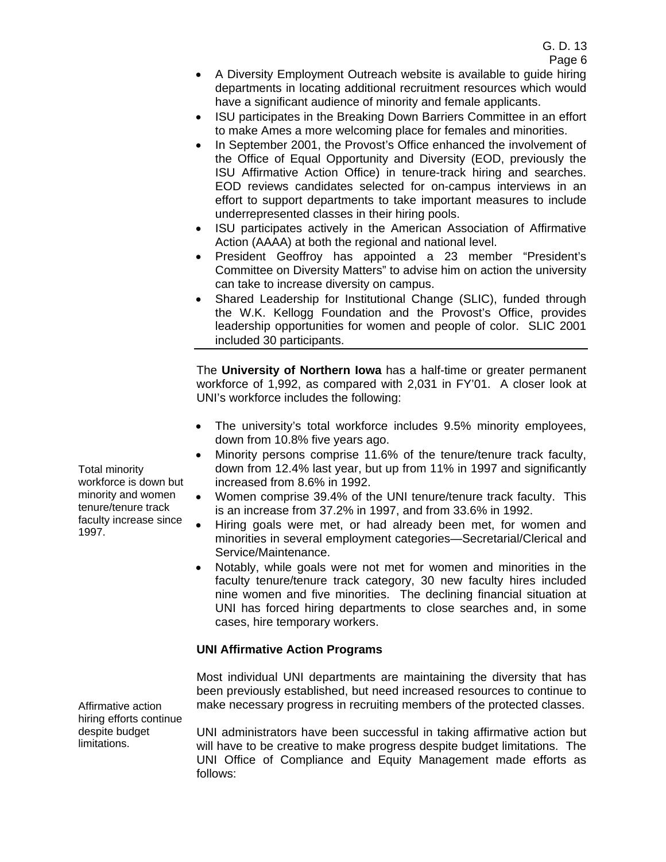- A Diversity Employment Outreach website is available to guide hiring departments in locating additional recruitment resources which would have a significant audience of minority and female applicants.
- ISU participates in the Breaking Down Barriers Committee in an effort to make Ames a more welcoming place for females and minorities.
- In September 2001, the Provost's Office enhanced the involvement of the Office of Equal Opportunity and Diversity (EOD, previously the ISU Affirmative Action Office) in tenure-track hiring and searches. EOD reviews candidates selected for on-campus interviews in an effort to support departments to take important measures to include underrepresented classes in their hiring pools.
- ISU participates actively in the American Association of Affirmative Action (AAAA) at both the regional and national level.
- President Geoffroy has appointed a 23 member "President's Committee on Diversity Matters" to advise him on action the university can take to increase diversity on campus.
- Shared Leadership for Institutional Change (SLIC), funded through the W.K. Kellogg Foundation and the Provost's Office, provides leadership opportunities for women and people of color. SLIC 2001 included 30 participants.

The **University of Northern Iowa** has a half-time or greater permanent workforce of 1,992, as compared with 2,031 in FY'01. A closer look at UNI's workforce includes the following:

- The university's total workforce includes 9.5% minority employees, down from 10.8% five years ago.
- Minority persons comprise 11.6% of the tenure/tenure track faculty, down from 12.4% last year, but up from 11% in 1997 and significantly increased from 8.6% in 1992.
- Women comprise 39.4% of the UNI tenure/tenure track faculty. This is an increase from 37.2% in 1997, and from 33.6% in 1992.
- Hiring goals were met, or had already been met, for women and minorities in several employment categories—Secretarial/Clerical and Service/Maintenance.
- Notably, while goals were not met for women and minorities in the faculty tenure/tenure track category, 30 new faculty hires included nine women and five minorities. The declining financial situation at UNI has forced hiring departments to close searches and, in some cases, hire temporary workers.

# **UNI Affirmative Action Programs**

Most individual UNI departments are maintaining the diversity that has been previously established, but need increased resources to continue to make necessary progress in recruiting members of the protected classes.

UNI administrators have been successful in taking affirmative action but will have to be creative to make progress despite budget limitations. The UNI Office of Compliance and Equity Management made efforts as follows:

Total minority workforce is down but minority and women tenure/tenure track faculty increase since 1997.

Affirmative action hiring efforts continue despite budget limitations.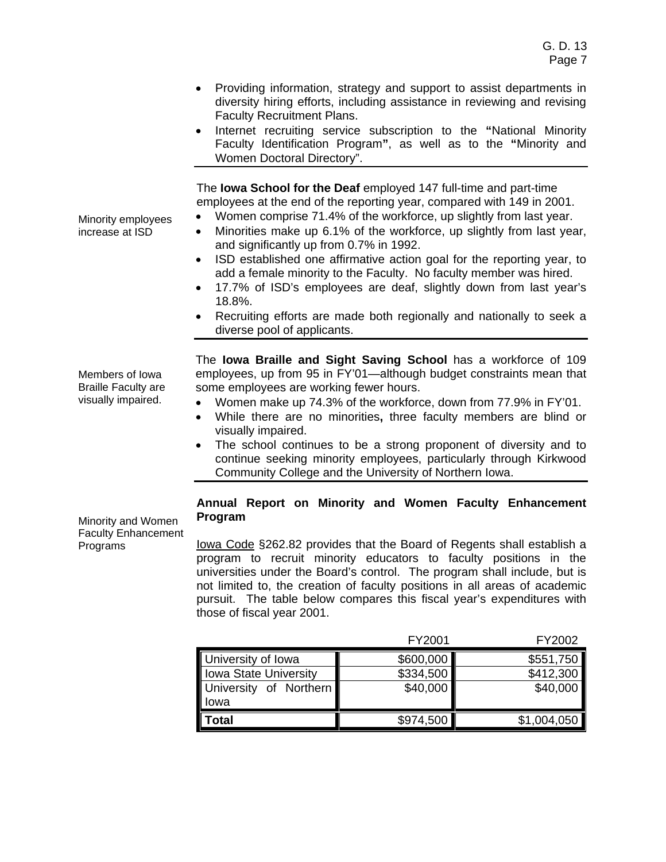- Providing information, strategy and support to assist departments in diversity hiring efforts, including assistance in reviewing and revising Faculty Recruitment Plans.
- Internet recruiting service subscription to the **"**National Minority Faculty Identification Program**"**, as well as to the **"**Minority and Women Doctoral Directory".

The **Iowa School for the Deaf** employed 147 full-time and part-time employees at the end of the reporting year, compared with 149 in 2001.

- Women comprise 71.4% of the workforce, up slightly from last year.
- Minorities make up 6.1% of the workforce, up slightly from last year, and significantly up from 0.7% in 1992.
- ISD established one affirmative action goal for the reporting year, to add a female minority to the Faculty. No faculty member was hired.
- 17.7% of ISD's employees are deaf, slightly down from last year's 18.8%.
- Recruiting efforts are made both regionally and nationally to seek a diverse pool of applicants.

The **Iowa Braille and Sight Saving School** has a workforce of 109 employees, up from 95 in FY'01—although budget constraints mean that some employees are working fewer hours.

- Women make up 74.3% of the workforce, down from 77.9% in FY'01.
- While there are no minorities**,** three faculty members are blind or visually impaired.
- The school continues to be a strong proponent of diversity and to continue seeking minority employees, particularly through Kirkwood Community College and the University of Northern Iowa.

### Minority and Women Faculty Enhancement Programs

## **Annual Report on Minority and Women Faculty Enhancement Program**

lowa Code §262.82 provides that the Board of Regents shall establish a program to recruit minority educators to faculty positions in the universities under the Board's control. The program shall include, but is not limited to, the creation of faculty positions in all areas of academic pursuit. The table below compares this fiscal year's expenditures with those of fiscal year 2001.

|                        | FY2001    | FY2002      |
|------------------------|-----------|-------------|
| University of Iowa     | \$600,000 | \$551,750   |
| Iowa State University  | \$334,500 | \$412,300   |
| University of Northern | \$40,000  | \$40,000    |
| lowa                   |           |             |
| Total                  | \$974,500 | \$1,004,050 |

Minority employees increase at ISD

Members of Iowa Braille Faculty are visually impaired.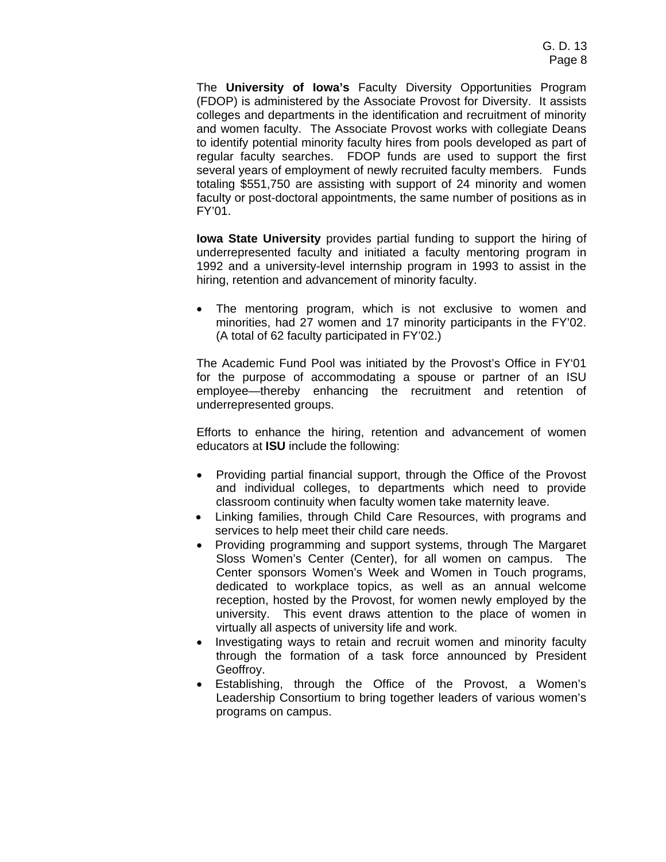The **University of Iowa's** Faculty Diversity Opportunities Program (FDOP) is administered by the Associate Provost for Diversity. It assists colleges and departments in the identification and recruitment of minority and women faculty. The Associate Provost works with collegiate Deans to identify potential minority faculty hires from pools developed as part of regular faculty searches. FDOP funds are used to support the first several years of employment of newly recruited faculty members. Funds totaling \$551,750 are assisting with support of 24 minority and women faculty or post-doctoral appointments, the same number of positions as in FY'01.

**Iowa State University** provides partial funding to support the hiring of underrepresented faculty and initiated a faculty mentoring program in 1992 and a university-level internship program in 1993 to assist in the hiring, retention and advancement of minority faculty.

• The mentoring program, which is not exclusive to women and minorities, had 27 women and 17 minority participants in the FY'02. (A total of 62 faculty participated in FY'02.)

The Academic Fund Pool was initiated by the Provost's Office in FY'01 for the purpose of accommodating a spouse or partner of an ISU employee—thereby enhancing the recruitment and retention of underrepresented groups.

Efforts to enhance the hiring, retention and advancement of women educators at **ISU** include the following:

- Providing partial financial support, through the Office of the Provost and individual colleges, to departments which need to provide classroom continuity when faculty women take maternity leave.
- Linking families, through Child Care Resources, with programs and services to help meet their child care needs.
- Providing programming and support systems, through The Margaret Sloss Women's Center (Center), for all women on campus. The Center sponsors Women's Week and Women in Touch programs, dedicated to workplace topics, as well as an annual welcome reception, hosted by the Provost, for women newly employed by the university. This event draws attention to the place of women in virtually all aspects of university life and work.
- Investigating ways to retain and recruit women and minority faculty through the formation of a task force announced by President Geoffroy.
- Establishing, through the Office of the Provost, a Women's Leadership Consortium to bring together leaders of various women's programs on campus.